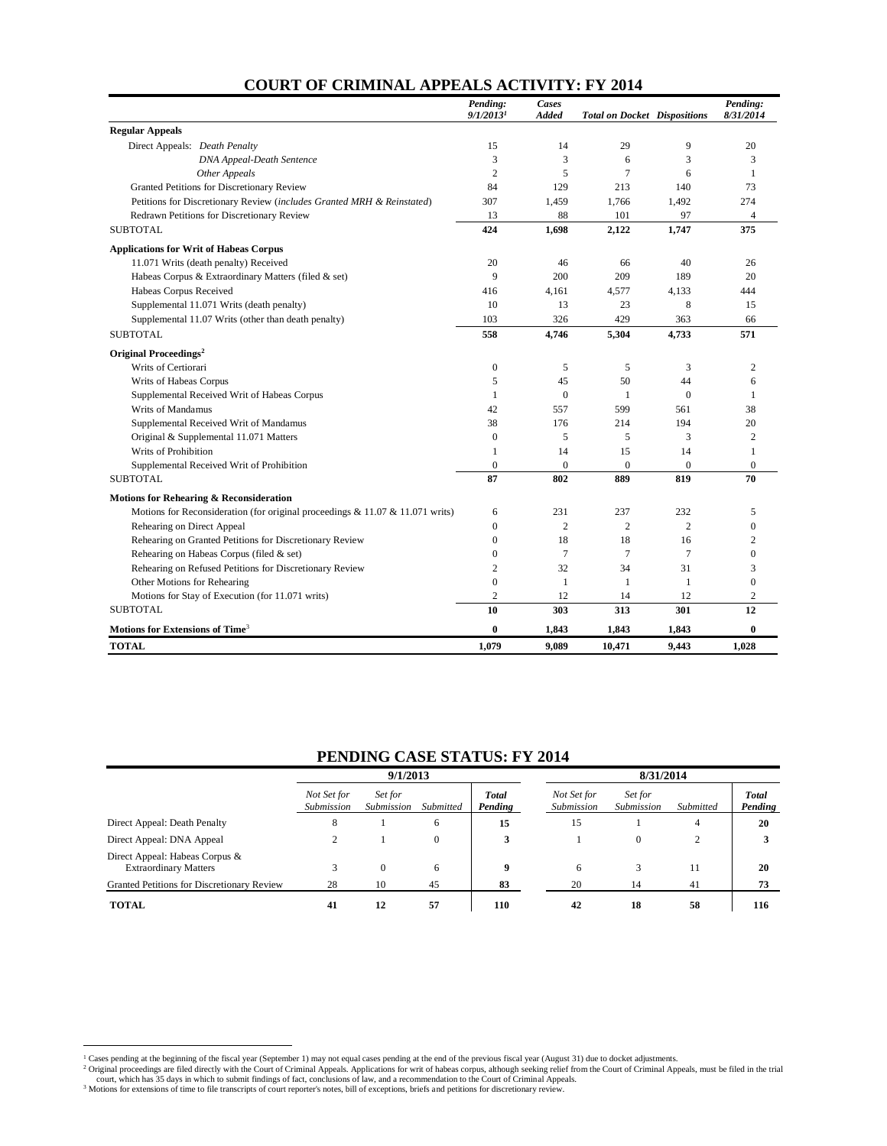| <b>COURT OF CRIMINAL APPEALS ACTIVITY: FY 2014</b> |  |  |  |  |  |
|----------------------------------------------------|--|--|--|--|--|
|----------------------------------------------------|--|--|--|--|--|

|                                                                                 | Pending:<br>9/1/2013 <sup>1</sup> | Cases<br><b>Added</b> | <b>Total on Docket Dispositions</b> |                | Pending:<br>8/31/2014 |
|---------------------------------------------------------------------------------|-----------------------------------|-----------------------|-------------------------------------|----------------|-----------------------|
| <b>Regular Appeals</b>                                                          |                                   |                       |                                     |                |                       |
| Direct Appeals: Death Penalty                                                   | 15                                | 14                    | 29                                  | 9              | 20                    |
| <b>DNA Appeal-Death Sentence</b>                                                | 3                                 | 3                     | 6                                   | 3              | 3                     |
| Other Appeals                                                                   | $\overline{2}$                    | 5                     | $\overline{7}$                      | 6              | 1                     |
| Granted Petitions for Discretionary Review                                      | 84                                | 129                   | 213                                 | 140            | 73                    |
| Petitions for Discretionary Review (includes Granted MRH & Reinstated)          | 307                               | 1,459                 | 1,766                               | 1,492          | 274                   |
| Redrawn Petitions for Discretionary Review                                      | 13                                | 88                    | 101                                 | 97             | 4                     |
| <b>SUBTOTAL</b>                                                                 | 424                               | 1,698                 | 2,122                               | 1.747          | 375                   |
| <b>Applications for Writ of Habeas Corpus</b>                                   |                                   |                       |                                     |                |                       |
| 11.071 Writs (death penalty) Received                                           | 20                                | 46                    | 66                                  | 40             | 26                    |
| Habeas Corpus & Extraordinary Matters (filed & set)                             | 9                                 | 200                   | 209                                 | 189            | 20                    |
| Habeas Corpus Received                                                          | 416                               | 4.161                 | 4,577                               | 4.133          | 444                   |
| Supplemental 11.071 Writs (death penalty)                                       | 10                                | 13                    | 23                                  | 8              | 15                    |
| Supplemental 11.07 Writs (other than death penalty)                             | 103                               | 326                   | 429                                 | 363            | 66                    |
| <b>SUBTOTAL</b>                                                                 | 558                               | 4.746                 | 5,304                               | 4.733          | 571                   |
| Original Proceedings <sup>2</sup>                                               |                                   |                       |                                     |                |                       |
| Writs of Certiorari                                                             | $\boldsymbol{0}$                  | 5                     | 5                                   | 3              | $\overline{c}$        |
| Writs of Habeas Corpus                                                          | 5                                 | 45                    | 50                                  | 44             | 6                     |
| Supplemental Received Writ of Habeas Corpus                                     | 1                                 | $\Omega$              | 1                                   | $\theta$       | 1                     |
| Writs of Mandamus                                                               | 42                                | 557                   | 599                                 | 561            | 38                    |
| Supplemental Received Writ of Mandamus                                          | 38                                | 176                   | 214                                 | 194            | 20                    |
| Original & Supplemental 11.071 Matters                                          | $\mathbf{0}$                      | 5                     | 5                                   | 3              | $\overline{c}$        |
| Writs of Prohibition                                                            | 1                                 | 14                    | 15                                  | 14             | 1                     |
| Supplemental Received Writ of Prohibition                                       | $\mathbf{0}$                      | $\overline{0}$        | $\mathbf{0}$                        | $\theta$       | $\overline{0}$        |
| <b>SUBTOTAL</b>                                                                 | 87                                | 802                   | 889                                 | 819            | 70                    |
| Motions for Rehearing & Reconsideration                                         |                                   |                       |                                     |                |                       |
| Motions for Reconsideration (for original proceedings $& 11.07 & 11.071$ writs) | 6                                 | 231                   | 237                                 | 232            | 5                     |
| Rehearing on Direct Appeal                                                      | $\mathbf{0}$                      | $\overline{c}$        | $\mathbf{2}$                        | $\overline{c}$ | $\overline{0}$        |
| Rehearing on Granted Petitions for Discretionary Review                         | $\mathbf{0}$                      | 18                    | 18                                  | 16             | $\overline{2}$        |
| Rehearing on Habeas Corpus (filed & set)                                        | $\Omega$                          | 7                     | 7                                   | $\overline{7}$ | $\theta$              |
| Rehearing on Refused Petitions for Discretionary Review                         | $\overline{c}$                    | 32                    | 34                                  | 31             | 3                     |
| Other Motions for Rehearing                                                     | $\overline{0}$                    | 1                     | 1                                   | $\mathbf{1}$   | $\overline{0}$        |
| Motions for Stay of Execution (for 11.071 writs)                                | $\overline{c}$                    | 12                    | 14                                  | 12             | $\overline{c}$        |
| <b>SUBTOTAL</b>                                                                 | 10                                | 303                   | 313                                 | 301            | 12                    |
| Motions for Extensions of Time <sup>3</sup>                                     | $\bf{0}$                          | 1,843                 | 1,843                               | 1,843          | $\bf{0}$              |
| <b>TOTAL</b>                                                                    | 1,079                             | 9.089                 | 10,471                              | 9,443          | 1,028                 |

#### **PENDING CASE STATUS: FY 2014**

|                                                                | 9/1/2013                  |                       |           |                         | 8/31/2014                 |                       |           |                         |
|----------------------------------------------------------------|---------------------------|-----------------------|-----------|-------------------------|---------------------------|-----------------------|-----------|-------------------------|
|                                                                | Not Set for<br>Submission | Set for<br>Submission | Submitted | <b>Total</b><br>Pending | Not Set for<br>Submission | Set for<br>Submission | Submitted | <b>Total</b><br>Pending |
| Direct Appeal: Death Penalty                                   | ×                         |                       | 6         | 15                      | 15                        |                       | 4         | 20                      |
| Direct Appeal: DNA Appeal                                      |                           |                       | $\theta$  |                         |                           |                       |           |                         |
| Direct Appeal: Habeas Corpus &<br><b>Extraordinary Matters</b> |                           | $\Omega$              | 6         |                         | 6                         |                       | 11        | 20                      |
| Granted Petitions for Discretionary Review                     | 28                        | 10                    | 45        | 83                      | 20                        | 14                    | 41        | 73                      |
| <b>TOTAL</b>                                                   | 41                        | 12                    | 57        | 110                     | 42                        | 18                    | 58        | 116                     |

<sup>&</sup>lt;sup>1</sup> Cases pending at the beginning of the fiscal year (September 1) may not equal cases pending at the end of the previous fiscal year (August 31) due to docket adjustments.<br><sup>2</sup> Original proceedings are filed directly with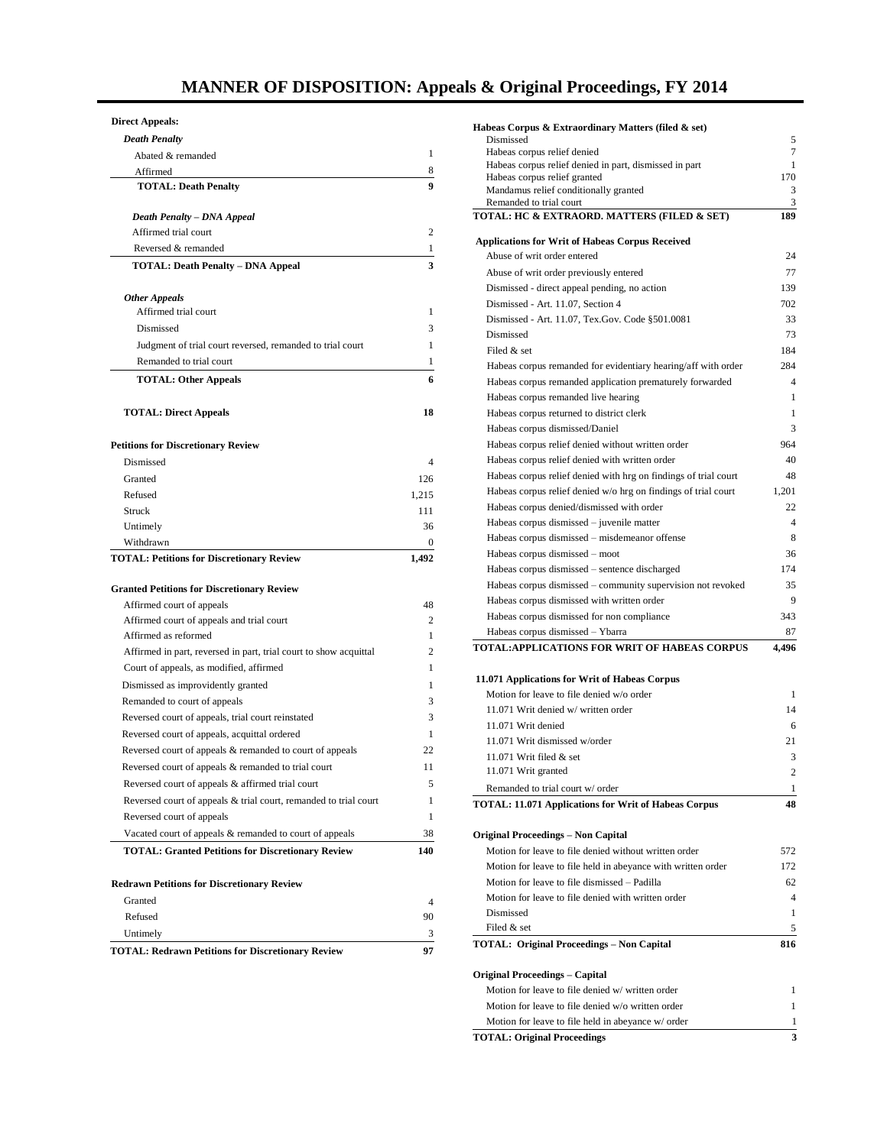# **MANNER OF DISPOSITION: Appeals & Original Proceedings, FY 2014**

#### **Direct Appeals:**

| <b>Death Penalty</b>                                                           |                |
|--------------------------------------------------------------------------------|----------------|
| Abated & remanded                                                              | 1              |
| Affirmed                                                                       | 8              |
| <b>TOTAL: Death Penalty</b>                                                    | 9              |
|                                                                                |                |
| Death Penalty - DNA Appeal                                                     |                |
| Affirmed trial court                                                           | $\overline{c}$ |
| Reversed & remanded                                                            | 1              |
| <b>TOTAL: Death Penalty - DNA Appeal</b>                                       | 3              |
| <b>Other Appeals</b>                                                           |                |
| Affirmed trial court                                                           | 1              |
| Dismissed                                                                      | 3              |
| Judgment of trial court reversed, remanded to trial court                      | 1              |
| Remanded to trial court                                                        | 1              |
| <b>TOTAL: Other Appeals</b>                                                    | 6              |
|                                                                                |                |
| <b>TOTAL: Direct Appeals</b>                                                   | 18             |
|                                                                                |                |
| <b>Petitions for Discretionary Review</b>                                      |                |
| Dismissed                                                                      | 4              |
| Granted                                                                        | 126            |
| Refused                                                                        | 1,215          |
| Struck                                                                         | 111            |
| Untimely                                                                       | 36             |
| Withdrawn                                                                      | 0              |
| <b>TOTAL: Petitions for Discretionary Review</b>                               | 1,492          |
|                                                                                |                |
| <b>Granted Petitions for Discretionary Review</b><br>Affirmed court of appeals | 48             |
| Affirmed court of appeals and trial court                                      | $\overline{c}$ |
| Affirmed as reformed                                                           | 1              |
| Affirmed in part, reversed in part, trial court to show acquittal              | $\overline{c}$ |
| Court of appeals, as modified, affirmed                                        | 1              |
| Dismissed as improvidently granted                                             | 1              |
| Remanded to court of appeals                                                   | 3              |
| Reversed court of appeals, trial court reinstated                              | 3              |
| Reversed court of appeals, acquittal ordered                                   | 1              |
| Reversed court of appeals & remanded to court of appeals                       | 22             |
| Reversed court of appeals & remanded to trial court                            | 11             |
| Reversed court of appeals & affirmed trial court                               | 5              |
| Reversed court of appeals & trial court, remanded to trial court               | 1              |
| Reversed court of appeals                                                      | 1              |
| Vacated court of appeals & remanded to court of appeals                        | 38             |
| <b>TOTAL: Granted Petitions for Discretionary Review</b>                       | 140            |
|                                                                                |                |
| <b>Redrawn Petitions for Discretionary Review</b>                              |                |
| Granted                                                                        | $\overline{4}$ |
| Refused                                                                        | 90             |
| Untimely                                                                       | 3              |
| <b>TOTAL: Redrawn Petitions for Discretionary Review</b>                       | 97             |

| Habeas Corpus & Extraordinary Matters (filed & set)                                   |                |
|---------------------------------------------------------------------------------------|----------------|
| Dismissed                                                                             | 5<br>7         |
| Habeas corpus relief denied<br>Habeas corpus relief denied in part, dismissed in part | 1              |
| Habeas corpus relief granted                                                          | 170            |
| Mandamus relief conditionally granted                                                 | 3              |
| Remanded to trial court                                                               | 3              |
| TOTAL: HC & EXTRAORD. MATTERS (FILED & SET)                                           | 189            |
| <b>Applications for Writ of Habeas Corpus Received</b>                                |                |
| Abuse of writ order entered                                                           | 24             |
| Abuse of writ order previously entered                                                | 77             |
| Dismissed - direct appeal pending, no action                                          | 139            |
| Dismissed - Art. 11.07, Section 4                                                     | 702            |
| Dismissed - Art. 11.07, Tex.Gov. Code §501.0081                                       | 33             |
| Dismissed                                                                             | 73             |
| Filed & set                                                                           | 184            |
| Habeas corpus remanded for evidentiary hearing/aff with order                         | 284            |
| Habeas corpus remanded application prematurely forwarded                              | 4              |
| Habeas corpus remanded live hearing                                                   | 1              |
| Habeas corpus returned to district clerk                                              | 1              |
| Habeas corpus dismissed/Daniel                                                        | 3              |
| Habeas corpus relief denied without written order                                     | 964            |
| Habeas corpus relief denied with written order                                        | 40             |
| Habeas corpus relief denied with hrg on findings of trial court                       | 48             |
| Habeas corpus relief denied w/o hrg on findings of trial court                        | 1,201          |
| Habeas corpus denied/dismissed with order                                             | 22             |
| Habeas corpus dismissed – juvenile matter                                             | 4              |
| Habeas corpus dismissed - misdemeanor offense                                         | 8<br>36        |
| Habeas corpus dismissed - moot<br>Habeas corpus dismissed - sentence discharged       | 174            |
| Habeas corpus dismissed - community supervision not revoked                           | 35             |
| Habeas corpus dismissed with written order                                            | 9              |
| Habeas corpus dismissed for non compliance                                            | 343            |
| Habeas corpus dismissed - Ybarra                                                      | 87             |
| TOTAL:APPLICATIONS FOR WRIT OF HABEAS CORPUS                                          | 4,496          |
|                                                                                       |                |
| 11.071 Applications for Writ of Habeas Corpus                                         |                |
| Motion for leave to file denied w/o order                                             | 1              |
| 11.071 Writ denied w/written order                                                    | 14             |
| 11.071 Writ denied                                                                    | 6              |
| 11.071 Writ dismissed w/order                                                         | 21             |
| 11.071 Writ filed & set                                                               | 3              |
| 11.071 Writ granted                                                                   | $\overline{c}$ |
| Remanded to trial court w/ order                                                      | 1              |
| <b>TOTAL: 11.071 Applications for Writ of Habeas Corpus</b>                           | 48             |
|                                                                                       |                |
| Original Proceedings – Non Capital                                                    |                |
| Motion for leave to file denied without written order                                 | 572            |
| Motion for leave to file held in abeyance with written order                          | 172            |
| Motion for leave to file dismissed – Padilla                                          | 62             |
| Motion for leave to file denied with written order                                    | 4              |
| Dismissed<br>Filed & set                                                              | 1<br>5         |
| <b>TOTAL: Original Proceedings - Non Capital</b>                                      | 816            |
|                                                                                       |                |
| Original Proceedings – Capital                                                        |                |
| Motion for leave to file denied w/ written order                                      | 1              |
| Motion for leave to file denied w/o written order                                     | 1              |
|                                                                                       | 1              |

**TOTAL: Original Proceedings 3**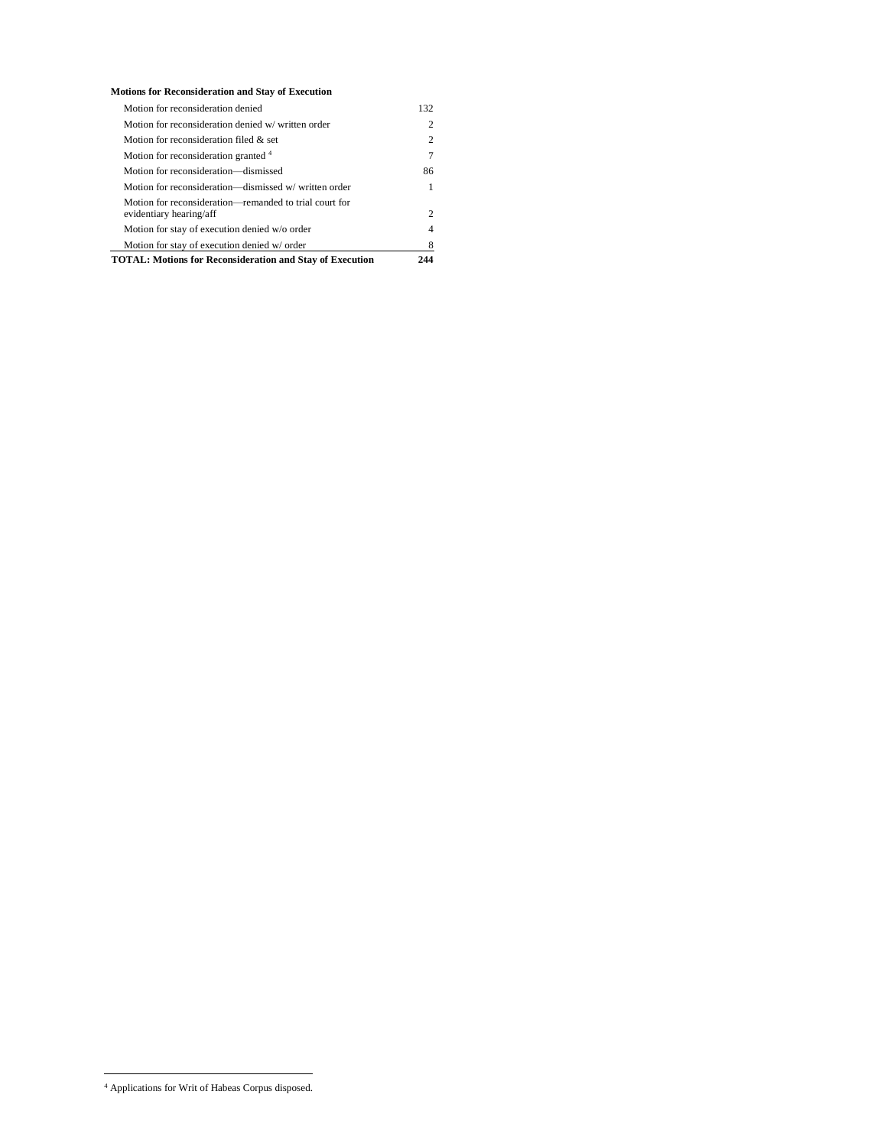| <b>Motions for Reconsideration and Stay of Execution</b> |
|----------------------------------------------------------|
|                                                          |

| Motion for reconsideration denied                               | 132                         |  |  |  |  |
|-----------------------------------------------------------------|-----------------------------|--|--|--|--|
| Motion for reconsideration denied w/written order               |                             |  |  |  |  |
| Motion for reconsideration filed & set                          |                             |  |  |  |  |
| Motion for reconsideration granted 4                            |                             |  |  |  |  |
| Motion for reconsideration—dismissed                            | 86                          |  |  |  |  |
| Motion for reconsideration—dismissed w/written order            |                             |  |  |  |  |
| Motion for reconsideration—remanded to trial court for          |                             |  |  |  |  |
| evidentiary hearing/aff                                         | $\mathcal{D}_{\mathcal{A}}$ |  |  |  |  |
| Motion for stay of execution denied w/o order                   | 4                           |  |  |  |  |
| Motion for stay of execution denied w/ order                    |                             |  |  |  |  |
| <b>TOTAL: Motions for Reconsideration and Stay of Execution</b> |                             |  |  |  |  |

 $\overline{a}$ 

<sup>4</sup> Applications for Writ of Habeas Corpus disposed.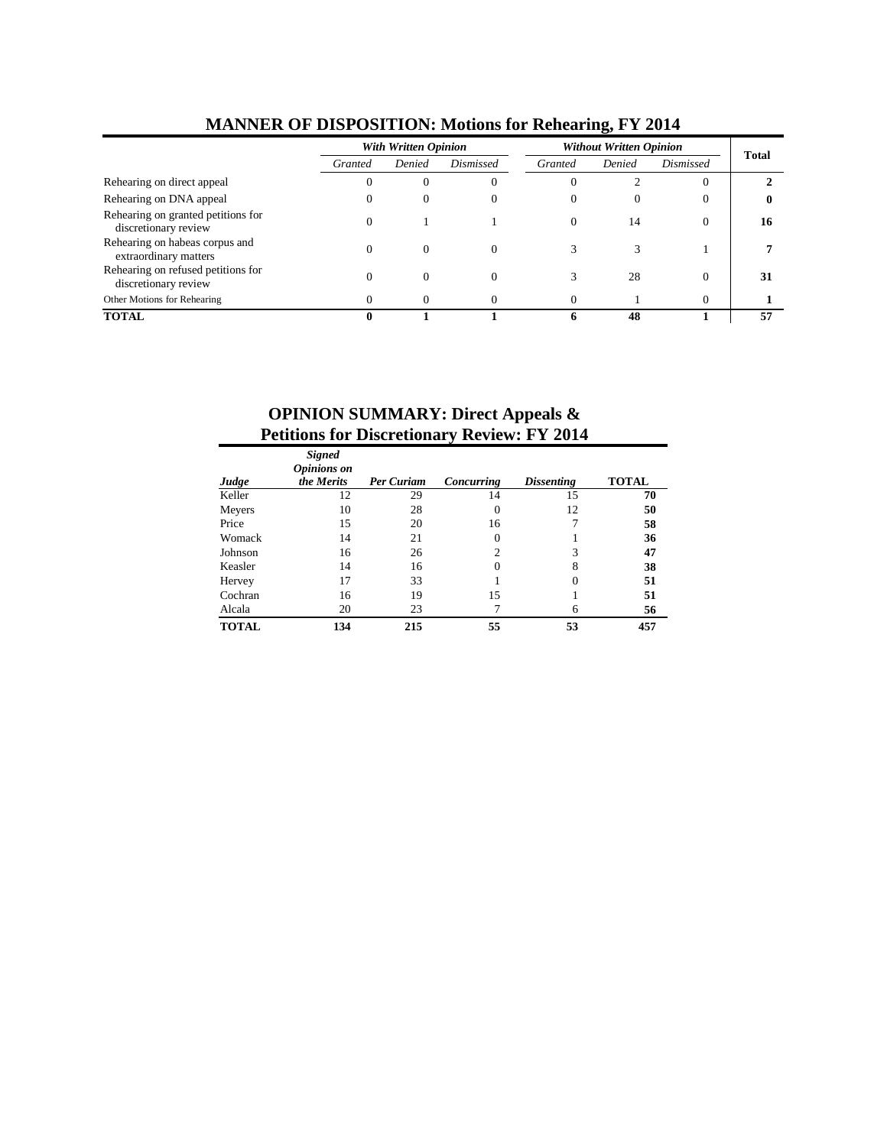|                                                            |          | With Written Opinion |           |          | Without Written Opinion |                |              |  |
|------------------------------------------------------------|----------|----------------------|-----------|----------|-------------------------|----------------|--------------|--|
|                                                            | Granted  | Denied               | Dismissed | Granted  | Denied                  | Dismissed      | <b>Total</b> |  |
| Rehearing on direct appeal                                 |          | O                    | U         | O        |                         | $\overline{0}$ |              |  |
| Rehearing on DNA appeal                                    | $\theta$ | 0                    |           | $\Omega$ | $\Omega$                | $\theta$       | 0            |  |
| Rehearing on granted petitions for<br>discretionary review | 0        |                      |           | $\Omega$ | 14                      | $\theta$       | 16           |  |
| Rehearing on habeas corpus and<br>extraordinary matters    |          |                      | $\Omega$  |          |                         |                |              |  |
| Rehearing on refused petitions for<br>discretionary review |          | 0                    |           |          | 28                      | $\Omega$       | 31           |  |
| Other Motions for Rehearing                                |          | 0                    |           |          |                         | $\Omega$       |              |  |
| <b>TOTAL</b>                                               |          |                      |           | h        | 48                      |                | 57           |  |

#### **MANNER OF DISPOSITION: Motions for Rehearing, FY 2014**

# **OPINION SUMMARY: Direct Appeals & Petitions for Discretionary Review: FY 2014**

| Judge        | <b>Signed</b><br><b>Opinions</b> on<br>the Merits | <b>Per Curiam</b> | Concurring     | <b>Dissenting</b> | <b>TOTAL</b> |
|--------------|---------------------------------------------------|-------------------|----------------|-------------------|--------------|
| Keller       | 12                                                | 29                | 14             | 15                | 70           |
| Meyers       | 10                                                | 28                |                | 12                | 50           |
| Price        | 15                                                | 20                | 16             |                   | 58           |
| Womack       | 14                                                | 21                |                |                   | 36           |
| Johnson      | 16                                                | 26                | $\mathfrak{D}$ |                   | 47           |
| Keasler      | 14                                                | 16                |                | 8                 | 38           |
| Hervey       | 17                                                | 33                |                |                   | 51           |
| Cochran      | 16                                                | 19                | 15             |                   | 51           |
| Alcala       | 20                                                | 23                |                | 6                 | 56           |
| <b>TOTAL</b> | 134                                               | 215               | 55             | 53                | 457          |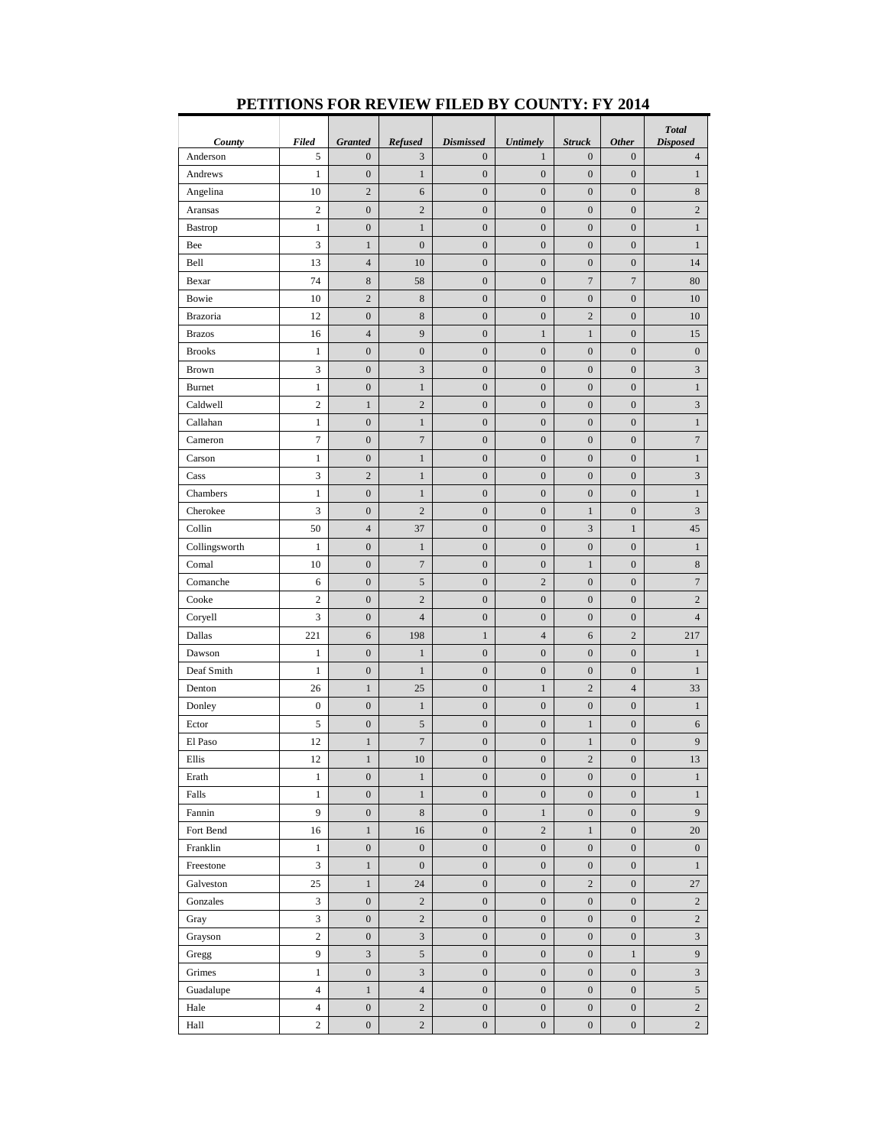|                    |                   |                                    |                           |                                      |                                 |                                   |                                  | <b>Total</b>                      |
|--------------------|-------------------|------------------------------------|---------------------------|--------------------------------------|---------------------------------|-----------------------------------|----------------------------------|-----------------------------------|
| County<br>Anderson | <b>Filed</b><br>5 | <b>Granted</b><br>$\boldsymbol{0}$ | Refused<br>3              | <b>Dismissed</b><br>$\boldsymbol{0}$ | <b>Untimely</b><br>$\mathbf{1}$ | <b>Struck</b><br>$\boldsymbol{0}$ | <b>Other</b><br>$\boldsymbol{0}$ | <b>Disposed</b><br>$\overline{4}$ |
|                    | $\mathbf{1}$      |                                    | $\mathbf{1}$              | $\boldsymbol{0}$                     | $\mathbf{0}$                    | $\boldsymbol{0}$                  |                                  | $\mathbf{1}$                      |
| Andrews            |                   | $\boldsymbol{0}$<br>$\overline{c}$ |                           |                                      | $\mathbf{0}$                    |                                   | $\boldsymbol{0}$                 |                                   |
| Angelina           | 10                |                                    | 6<br>$\overline{2}$       | $\boldsymbol{0}$                     |                                 | $\boldsymbol{0}$                  | $\boldsymbol{0}$                 | $\,8$                             |
| Aransas            | $\mathbf{2}$      | $\boldsymbol{0}$                   |                           | $\boldsymbol{0}$                     | $\boldsymbol{0}$                | $\boldsymbol{0}$                  | $\boldsymbol{0}$                 | $\sqrt{2}$                        |
| Bastrop            | $\mathbf{1}$      | $\boldsymbol{0}$                   | $\,1$                     | $\boldsymbol{0}$                     | $\boldsymbol{0}$                | $\boldsymbol{0}$                  | $\boldsymbol{0}$                 | $\mathbf{1}$                      |
| Bee                | 3                 | $\mathbf{1}$                       | $\boldsymbol{0}$          | $\boldsymbol{0}$                     | $\boldsymbol{0}$                | $\boldsymbol{0}$                  | $\boldsymbol{0}$                 | $\mathbf{1}$                      |
| Bell               | 13                | $\overline{4}$                     | 10                        | $\boldsymbol{0}$                     | $\boldsymbol{0}$                | $\boldsymbol{0}$                  | $\boldsymbol{0}$                 | 14                                |
| Bexar              | 74                | $\,$ 8 $\,$                        | 58                        | $\boldsymbol{0}$                     | $\boldsymbol{0}$                | $\boldsymbol{7}$                  | $\boldsymbol{7}$                 | 80                                |
| Bowie              | 10                | $\overline{c}$                     | $\,$ 8 $\,$               | $\boldsymbol{0}$                     | $\boldsymbol{0}$                | $\boldsymbol{0}$                  | $\boldsymbol{0}$                 | 10                                |
| <b>Brazoria</b>    | 12                | $\boldsymbol{0}$                   | $\,$ 8 $\,$               | $\boldsymbol{0}$                     | $\boldsymbol{0}$                | $\sqrt{2}$                        | $\boldsymbol{0}$                 | 10                                |
| <b>Brazos</b>      | 16                | $\overline{4}$                     | 9                         | $\boldsymbol{0}$                     | $\mathbf{1}$                    | $\mathbf{1}$                      | $\boldsymbol{0}$                 | 15                                |
| <b>Brooks</b>      | 1                 | $\boldsymbol{0}$                   | $\boldsymbol{0}$          | $\boldsymbol{0}$                     | $\boldsymbol{0}$                | $\boldsymbol{0}$                  | $\boldsymbol{0}$                 | $\boldsymbol{0}$                  |
| Brown              | 3                 | $\mathbf{0}$                       | $\mathfrak{Z}$            | $\boldsymbol{0}$                     | $\boldsymbol{0}$                | $\boldsymbol{0}$                  | $\boldsymbol{0}$                 | 3                                 |
| <b>Burnet</b>      | $\mathbf{1}$      | $\boldsymbol{0}$                   | $\mathbf{1}$              | $\boldsymbol{0}$                     | $\mathbf{0}$                    | $\boldsymbol{0}$                  | $\boldsymbol{0}$                 | $\mathbf{1}$                      |
| Caldwell           | $\overline{c}$    | $\mathbf{1}$                       | $\sqrt{2}$                | $\boldsymbol{0}$                     | $\boldsymbol{0}$                | $\boldsymbol{0}$                  | $\boldsymbol{0}$                 | $\ensuremath{\mathfrak{Z}}$       |
| Callahan           | $\mathbf{1}$      | $\boldsymbol{0}$                   | $\mathbf{1}$              | $\boldsymbol{0}$                     | $\boldsymbol{0}$                | $\boldsymbol{0}$                  | $\boldsymbol{0}$                 | $\mathbf{1}$                      |
| Cameron            | $\boldsymbol{7}$  | $\boldsymbol{0}$                   | $\boldsymbol{7}$          | $\boldsymbol{0}$                     | $\boldsymbol{0}$                | $\boldsymbol{0}$                  | $\boldsymbol{0}$                 | $\boldsymbol{7}$                  |
| Carson             | $\mathbf{1}$      | $\boldsymbol{0}$                   | $\mathbf{1}$              | $\boldsymbol{0}$                     | $\boldsymbol{0}$                | $\boldsymbol{0}$                  | $\boldsymbol{0}$                 | $\mathbf{1}$                      |
| Cass               | 3                 | $\sqrt{2}$                         | $\,1$                     | $\boldsymbol{0}$                     | $\boldsymbol{0}$                | $\boldsymbol{0}$                  | $\boldsymbol{0}$                 | $\mathfrak{Z}$                    |
| Chambers           | $\mathbf{1}$      | $\boldsymbol{0}$                   | $\mathbf{1}$              | $\boldsymbol{0}$                     | $\boldsymbol{0}$                | $\boldsymbol{0}$                  | $\boldsymbol{0}$                 | $\,1$                             |
| Cherokee           | 3                 | $\boldsymbol{0}$                   | $\sqrt{2}$                | $\boldsymbol{0}$                     | $\boldsymbol{0}$                | $\,1$                             | $\boldsymbol{0}$                 | $\mathfrak{Z}$                    |
| Collin             | 50                | $\overline{4}$                     | 37                        | $\boldsymbol{0}$                     | $\boldsymbol{0}$                | $\mathfrak{Z}$                    | $\mathbf{1}$                     | $45\,$                            |
| Collingsworth      | 1                 | $\boldsymbol{0}$                   | $\mathbf{1}$              | $\boldsymbol{0}$                     | $\boldsymbol{0}$                | $\boldsymbol{0}$                  | $\boldsymbol{0}$                 | $\mathbf{1}$                      |
| Comal              | 10                | $\boldsymbol{0}$                   | $\boldsymbol{7}$          | $\boldsymbol{0}$                     | $\boldsymbol{0}$                | $\mathbf{1}$                      | $\boldsymbol{0}$                 | $\,8$                             |
| Comanche           | 6                 | $\boldsymbol{0}$                   | $\sqrt{5}$                | $\boldsymbol{0}$                     | $\overline{2}$                  | $\boldsymbol{0}$                  | $\boldsymbol{0}$                 | $\boldsymbol{7}$                  |
| Cooke              | $\overline{c}$    | $\boldsymbol{0}$                   | $\overline{c}$            | $\boldsymbol{0}$                     | $\boldsymbol{0}$                | $\boldsymbol{0}$                  | $\boldsymbol{0}$                 | $\overline{c}$                    |
| Coryell            | 3                 | $\boldsymbol{0}$                   | $\overline{4}$            | $\boldsymbol{0}$                     | $\boldsymbol{0}$                | $\boldsymbol{0}$                  | $\boldsymbol{0}$                 | $\overline{4}$                    |
| Dallas             | 221               | 6                                  | 198                       | $\mathbf{1}$                         | $\overline{4}$                  | 6                                 | $\boldsymbol{2}$                 | 217                               |
| Dawson             | 1                 | $\boldsymbol{0}$                   | $\mathbf{1}$              | $\boldsymbol{0}$                     | $\boldsymbol{0}$                | $\boldsymbol{0}$                  | $\boldsymbol{0}$                 | $\mathbf{1}$                      |
| Deaf Smith         | 1                 | $\boldsymbol{0}$                   | $\mathbf{1}$              | $\boldsymbol{0}$                     | $\boldsymbol{0}$                | $\boldsymbol{0}$                  | $\boldsymbol{0}$                 | $\mathbf{1}$                      |
| Denton             | 26                | $\,1$                              | 25                        | $\boldsymbol{0}$                     | $1\,$                           | $\sqrt{2}$                        | $\overline{4}$                   | 33                                |
| Donley             | $\boldsymbol{0}$  | $\boldsymbol{0}$                   | $\,1$                     | $\boldsymbol{0}$                     | $\boldsymbol{0}$                | $\boldsymbol{0}$                  | $\boldsymbol{0}$                 | $\,1$                             |
| Ector              | $\mathfrak s$     | $\boldsymbol{0}$                   | $\mathfrak s$             | $\boldsymbol{0}$                     | $\boldsymbol{0}$                | $\mathbf{1}$                      | $\boldsymbol{0}$                 | 6                                 |
| El Paso            | 12                | $\mathbf{1}$                       | $\sqrt{ }$                | $\boldsymbol{0}$                     | $\boldsymbol{0}$                | $\mathbf{1}$                      | $\boldsymbol{0}$                 | 9                                 |
| Ellis              | 12                | 1                                  | 10                        | $\boldsymbol{0}$                     | $\boldsymbol{0}$                | $\sqrt{2}$                        | $\boldsymbol{0}$                 | 13                                |
| Erath              | $\mathbf{1}$      | $\boldsymbol{0}$                   | $\mathbf{1}$              | $\boldsymbol{0}$                     | $\boldsymbol{0}$                | $\boldsymbol{0}$                  | $\boldsymbol{0}$                 | $\mathbf{1}$                      |
| Falls              | $\mathbf{1}$      | $\boldsymbol{0}$                   | $\mathbf{1}$              | $\boldsymbol{0}$                     | $\boldsymbol{0}$                | $\boldsymbol{0}$                  | $\boldsymbol{0}$                 | $\mathbf{1}$                      |
| Fannin             | 9                 | $\boldsymbol{0}$                   | $\,$ 8 $\,$               | $\boldsymbol{0}$                     | $1\,$                           | $\boldsymbol{0}$                  | $\boldsymbol{0}$                 | 9                                 |
| Fort Bend          | 16                | $\mathbf{1}$                       | 16                        | $\overline{0}$                       | $\overline{c}$                  | $\mathbf{1}$                      | $\boldsymbol{0}$                 | 20                                |
| Franklin           | $\mathbf{1}$      | $\boldsymbol{0}$                   | $\boldsymbol{0}$          | $\boldsymbol{0}$                     | $\boldsymbol{0}$                | $\boldsymbol{0}$                  | $\boldsymbol{0}$                 | $\boldsymbol{0}$                  |
| Freestone          | 3                 | $\mathbf{1}$                       | $\boldsymbol{0}$          | $\overline{0}$                       | $\boldsymbol{0}$                | $\boldsymbol{0}$                  | $\boldsymbol{0}$                 | $\mathbf{1}$                      |
| Galveston          | 25                | $\mathbf{1}$                       | 24                        | $\overline{0}$                       | $\boldsymbol{0}$                | $\overline{c}$                    | $\boldsymbol{0}$                 | 27                                |
| Gonzales           | 3                 | $\boldsymbol{0}$                   | $\sqrt{2}$                | $\overline{0}$                       | $\boldsymbol{0}$                | $\boldsymbol{0}$                  | $\boldsymbol{0}$                 | $\overline{c}$                    |
| Gray               | 3                 | $\boldsymbol{0}$                   | $\sqrt{2}$                | $\overline{0}$                       | $\boldsymbol{0}$                | $\boldsymbol{0}$                  | $\boldsymbol{0}$                 | $\overline{2}$                    |
| Grayson            | $\sqrt{2}$        | $\boldsymbol{0}$                   | $\ensuremath{\mathsf{3}}$ | $\overline{0}$                       | $\boldsymbol{0}$                | $\boldsymbol{0}$                  | $\boldsymbol{0}$                 | $\overline{3}$                    |
| Gregg              | 9                 | $\sqrt{3}$                         | $\mathfrak s$             | $\overline{0}$                       | $\mathbf{0}$                    | $\boldsymbol{0}$                  | $\mathbf{1}$                     | 9                                 |
| Grimes             | $\mathbf{1}$      | $\mathbf{0}$                       | $\mathfrak{Z}$            | $\overline{0}$                       | $\boldsymbol{0}$                | $\overline{0}$                    | $\mathbf{0}$                     | $\mathfrak{Z}$                    |
| Guadalupe          | $\overline{4}$    | $\mathbf{1}$                       | $\overline{4}$            | $\overline{0}$                       | $\mathbf{0}$                    | $\boldsymbol{0}$                  | $\boldsymbol{0}$                 | $\mathfrak{S}$                    |
| Hale               | $\overline{4}$    | $\boldsymbol{0}$                   | $\overline{c}$            | $\overline{0}$                       | $\mathbf{0}$                    | $\boldsymbol{0}$                  | $\boldsymbol{0}$                 | $\overline{2}$                    |
| Hall               | $\overline{c}$    | $\boldsymbol{0}$                   | $\sqrt{2}$                | $\boldsymbol{0}$                     | $\boldsymbol{0}$                | $\boldsymbol{0}$                  | $\boldsymbol{0}$                 | $\overline{c}$                    |

### **PETITIONS FOR REVIEW FILED BY COUNTY: FY 2014**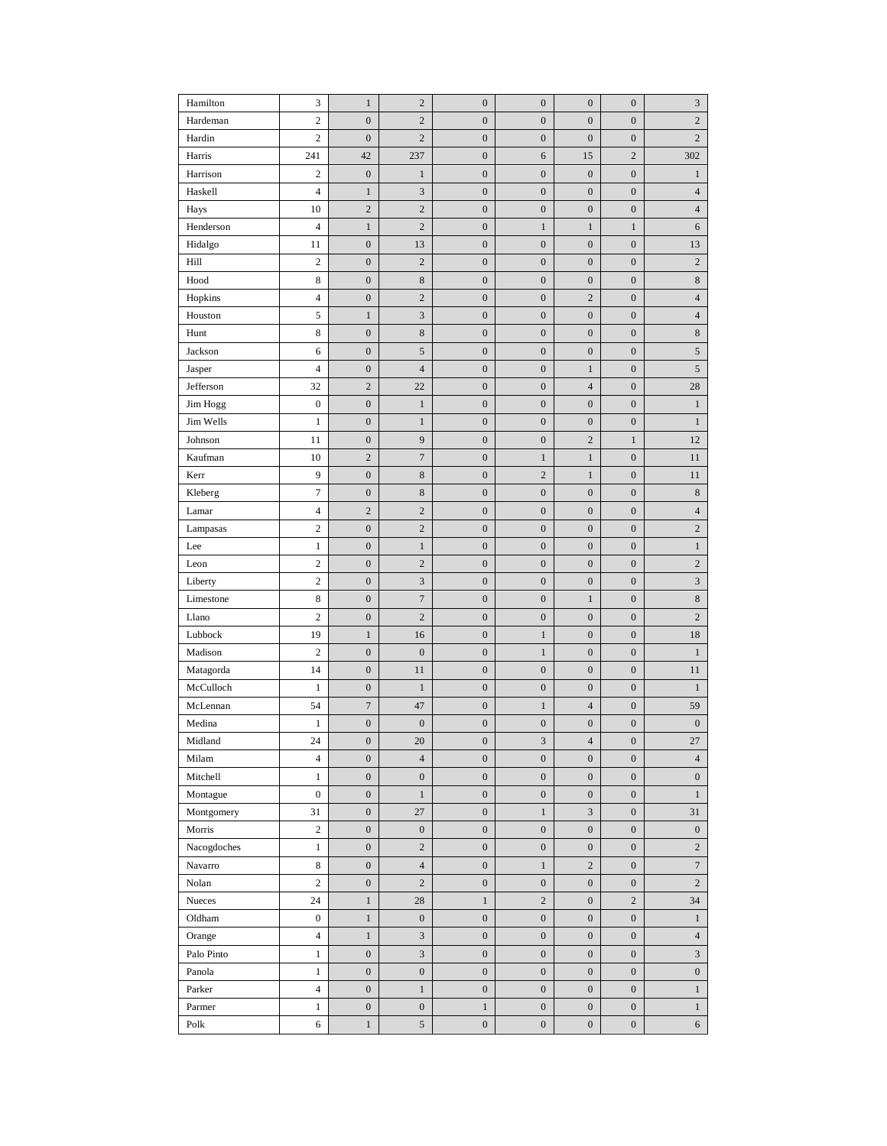| Hamilton    | 3                | $\mathbf{1}$     | $\overline{c}$              | $\boldsymbol{0}$ | $\boldsymbol{0}$ | $\boldsymbol{0}$ | $\boldsymbol{0}$ | 3                           |
|-------------|------------------|------------------|-----------------------------|------------------|------------------|------------------|------------------|-----------------------------|
| Hardeman    | $\boldsymbol{2}$ | $\boldsymbol{0}$ | $\mathbf{2}$                | $\boldsymbol{0}$ | $\boldsymbol{0}$ | $\boldsymbol{0}$ | $\boldsymbol{0}$ | $\sqrt{2}$                  |
| Hardin      | $\sqrt{2}$       | $\boldsymbol{0}$ | $\mathbf{2}$                | $\boldsymbol{0}$ | $\boldsymbol{0}$ | $\boldsymbol{0}$ | $\boldsymbol{0}$ | $\overline{c}$              |
| Harris      | 241              | 42               | 237                         | $\boldsymbol{0}$ | 6                | 15               | $\overline{c}$   | 302                         |
| Harrison    | $\boldsymbol{2}$ | $\boldsymbol{0}$ | $\mathbf{1}$                | $\boldsymbol{0}$ | $\boldsymbol{0}$ | $\boldsymbol{0}$ | $\boldsymbol{0}$ | $\mathbf{1}$                |
| Haskell     | $\overline{4}$   | $\mathbf{1}$     | $\ensuremath{\mathfrak{Z}}$ | $\boldsymbol{0}$ | $\boldsymbol{0}$ | $\boldsymbol{0}$ | $\boldsymbol{0}$ | $\overline{4}$              |
| Hays        | 10               | $\sqrt{2}$       | $\sqrt{2}$                  | $\boldsymbol{0}$ | $\boldsymbol{0}$ | $\boldsymbol{0}$ | $\boldsymbol{0}$ | $\overline{4}$              |
| Henderson   | $\overline{4}$   | $\mathbf{1}$     | $\sqrt{2}$                  | $\boldsymbol{0}$ | $\,1$            | $\mathbf{1}$     | $\,1$            | 6                           |
| Hidalgo     | 11               | $\boldsymbol{0}$ | 13                          | $\boldsymbol{0}$ | $\boldsymbol{0}$ | $\boldsymbol{0}$ | $\boldsymbol{0}$ | 13                          |
| Hill        | $\overline{c}$   | $\boldsymbol{0}$ | $\sqrt{2}$                  | $\boldsymbol{0}$ | $\boldsymbol{0}$ | $\boldsymbol{0}$ | $\boldsymbol{0}$ | $\sqrt{2}$                  |
| Hood        | 8                | $\boldsymbol{0}$ | $\,$ 8 $\,$                 | $\boldsymbol{0}$ | $\boldsymbol{0}$ | $\boldsymbol{0}$ | $\boldsymbol{0}$ | $\,$ 8 $\,$                 |
| Hopkins     | 4                | $\boldsymbol{0}$ | $\sqrt{2}$                  | $\boldsymbol{0}$ | $\boldsymbol{0}$ | $\mathbf{2}$     | $\boldsymbol{0}$ | $\overline{4}$              |
| Houston     | 5                | $\mathbf{1}$     | $\mathfrak{Z}$              | $\boldsymbol{0}$ | $\boldsymbol{0}$ | $\boldsymbol{0}$ | $\boldsymbol{0}$ | $\overline{4}$              |
| Hunt        | 8                | $\boldsymbol{0}$ | $\,$ 8 $\,$                 | $\boldsymbol{0}$ | $\boldsymbol{0}$ | $\boldsymbol{0}$ | $\boldsymbol{0}$ | $\,$ 8 $\,$                 |
| Jackson     | 6                | $\boldsymbol{0}$ | $\sqrt{5}$                  | $\boldsymbol{0}$ | $\boldsymbol{0}$ | $\boldsymbol{0}$ | $\boldsymbol{0}$ | $\sqrt{5}$                  |
| Jasper      | $\overline{4}$   | $\boldsymbol{0}$ | $\overline{4}$              | $\boldsymbol{0}$ | $\boldsymbol{0}$ | $\mathbf{1}$     | $\boldsymbol{0}$ | $\sqrt{5}$                  |
| Jefferson   | 32               | $\sqrt{2}$       | 22                          | $\boldsymbol{0}$ | $\boldsymbol{0}$ | $\overline{4}$   | $\boldsymbol{0}$ | 28                          |
| Jim Hogg    | $\boldsymbol{0}$ | $\boldsymbol{0}$ | $\,1$                       | $\boldsymbol{0}$ | $\boldsymbol{0}$ | $\boldsymbol{0}$ | $\boldsymbol{0}$ | $\mathbf{1}$                |
| Jim Wells   | $\,1$            | $\boldsymbol{0}$ | $\mathbf{1}$                | $\boldsymbol{0}$ | $\boldsymbol{0}$ | $\boldsymbol{0}$ | $\boldsymbol{0}$ | $\mathbf{1}$                |
| Johnson     | 11               | $\boldsymbol{0}$ | 9                           | $\boldsymbol{0}$ | $\boldsymbol{0}$ | $\sqrt{2}$       | $\,1$            | 12                          |
| Kaufman     | 10               | $\sqrt{2}$       | $\boldsymbol{7}$            | $\boldsymbol{0}$ | $\,1$            | $\mathbf{1}$     | $\boldsymbol{0}$ | 11                          |
| Kerr        | 9                | $\boldsymbol{0}$ | $\,$ 8 $\,$                 | $\boldsymbol{0}$ | $\sqrt{2}$       | $\mathbf{1}$     | $\boldsymbol{0}$ | 11                          |
| Kleberg     | $\boldsymbol{7}$ | $\boldsymbol{0}$ | $\,$ 8 $\,$                 | $\boldsymbol{0}$ | $\boldsymbol{0}$ | $\boldsymbol{0}$ | $\boldsymbol{0}$ | $\,$ 8 $\,$                 |
| Lamar       | 4                | $\sqrt{2}$       | $\mathbf{2}$                | $\boldsymbol{0}$ | $\boldsymbol{0}$ | $\boldsymbol{0}$ | $\boldsymbol{0}$ | $\overline{4}$              |
| Lampasas    | $\boldsymbol{2}$ | $\boldsymbol{0}$ | $\overline{c}$              | $\boldsymbol{0}$ | $\boldsymbol{0}$ | $\boldsymbol{0}$ | $\boldsymbol{0}$ | $\overline{c}$              |
| Lee         | $\mathbf{1}$     | $\boldsymbol{0}$ | $\mathbf{1}$                | $\boldsymbol{0}$ | $\boldsymbol{0}$ | $\boldsymbol{0}$ | $\boldsymbol{0}$ | $\mathbf{1}$                |
| Leon        | $\sqrt{2}$       | $\boldsymbol{0}$ | $\sqrt{2}$                  | $\boldsymbol{0}$ | $\boldsymbol{0}$ | $\boldsymbol{0}$ | $\boldsymbol{0}$ | $\sqrt{2}$                  |
| Liberty     | $\overline{c}$   | $\boldsymbol{0}$ | $\mathfrak{Z}$              | $\boldsymbol{0}$ | $\boldsymbol{0}$ | $\boldsymbol{0}$ | $\boldsymbol{0}$ | $\ensuremath{\mathfrak{Z}}$ |
| Limestone   | 8                | $\boldsymbol{0}$ | $\boldsymbol{7}$            | $\boldsymbol{0}$ | $\boldsymbol{0}$ | $\mathbf{1}$     | $\boldsymbol{0}$ | $\,$ 8 $\,$                 |
| Llano       | $\boldsymbol{2}$ | $\boldsymbol{0}$ | $\sqrt{2}$                  | $\boldsymbol{0}$ | $\boldsymbol{0}$ | $\boldsymbol{0}$ | $\boldsymbol{0}$ | $\overline{c}$              |
| Lubbock     | 19               | $\mathbf{1}$     | 16                          | $\boldsymbol{0}$ | $\,1$            | $\boldsymbol{0}$ | $\boldsymbol{0}$ | 18                          |
| Madison     | $\boldsymbol{2}$ | $\boldsymbol{0}$ | $\boldsymbol{0}$            | $\boldsymbol{0}$ | $\,1$            | $\boldsymbol{0}$ | $\boldsymbol{0}$ | $\mathbf{1}$                |
| Matagorda   | 14               | $\boldsymbol{0}$ | 11                          | $\boldsymbol{0}$ | $\boldsymbol{0}$ | $\boldsymbol{0}$ | $\boldsymbol{0}$ | 11                          |
| McCulloch   | $\mathbf{1}$     | $\boldsymbol{0}$ | $\,1$                       | $\boldsymbol{0}$ | $\boldsymbol{0}$ | $\boldsymbol{0}$ | $\boldsymbol{0}$ | $\mathbf{1}$                |
| McLennan    | 54               | $\boldsymbol{7}$ | 47                          | $\boldsymbol{0}$ | $\,1$            | $\overline{4}$   | $\boldsymbol{0}$ | 59                          |
| Medina      | 1                | $\boldsymbol{0}$ | $\boldsymbol{0}$            | $\boldsymbol{0}$ | $\boldsymbol{0}$ | $\boldsymbol{0}$ | $\boldsymbol{0}$ | $\boldsymbol{0}$            |
| Midland     | 24               | $\boldsymbol{0}$ | $20\,$                      | $\boldsymbol{0}$ | $\sqrt{3}$       | $\sqrt{4}$       | $\boldsymbol{0}$ | 27                          |
| Milam       | $\overline{4}$   | $\boldsymbol{0}$ | $\overline{4}$              | $\boldsymbol{0}$ | $\mathbf{0}$     | $\boldsymbol{0}$ | $\boldsymbol{0}$ | $\overline{4}$              |
| Mitchell    | $\mathbf{1}$     | $\boldsymbol{0}$ | $\boldsymbol{0}$            | $\boldsymbol{0}$ | $\boldsymbol{0}$ | $\boldsymbol{0}$ | $\boldsymbol{0}$ | $\boldsymbol{0}$            |
| Montague    | $\boldsymbol{0}$ | $\boldsymbol{0}$ | $\mathbf{1}$                | $\boldsymbol{0}$ | $\boldsymbol{0}$ | $\boldsymbol{0}$ | $\boldsymbol{0}$ | $\mathbf{1}$                |
| Montgomery  | 31               | $\boldsymbol{0}$ | 27                          | $\boldsymbol{0}$ | $\mathbf{1}$     | $\mathfrak{Z}$   | $\boldsymbol{0}$ | 31                          |
| Morris      | $\sqrt{2}$       | $\boldsymbol{0}$ | $\boldsymbol{0}$            | $\boldsymbol{0}$ | $\boldsymbol{0}$ | $\boldsymbol{0}$ | $\boldsymbol{0}$ | $\boldsymbol{0}$            |
| Nacogdoches | $\mathbf{1}$     | $\boldsymbol{0}$ | $\sqrt{2}$                  | $\boldsymbol{0}$ | $\boldsymbol{0}$ | $\boldsymbol{0}$ | $\boldsymbol{0}$ | $\overline{c}$              |
| Navarro     | $\,$ 8 $\,$      | $\boldsymbol{0}$ | $\overline{4}$              | $\boldsymbol{0}$ | $\mathbf{1}$     | $\sqrt{2}$       | $\boldsymbol{0}$ | $\boldsymbol{7}$            |
| Nolan       | $\overline{c}$   | $\boldsymbol{0}$ | $\sqrt{2}$                  | $\boldsymbol{0}$ | $\boldsymbol{0}$ | $\boldsymbol{0}$ | $\boldsymbol{0}$ | $\sqrt{2}$                  |
| Nueces      | 24               | $\,1$            | 28                          | $\mathbf{1}$     | $\overline{c}$   | $\boldsymbol{0}$ | $\overline{c}$   | 34                          |
| Oldham      | $\boldsymbol{0}$ | $\mathbf{1}$     | $\boldsymbol{0}$            | $\boldsymbol{0}$ | $\boldsymbol{0}$ | $\boldsymbol{0}$ | $\boldsymbol{0}$ | $\mathbf{1}$                |
| Orange      | $\overline{4}$   | $\mathbf{1}$     | 3                           | $\boldsymbol{0}$ | $\boldsymbol{0}$ | $\boldsymbol{0}$ | $\boldsymbol{0}$ | $\overline{4}$              |
| Palo Pinto  | $\mathbf{1}$     | $\boldsymbol{0}$ | $\ensuremath{\mathfrak{Z}}$ | $\boldsymbol{0}$ | $\boldsymbol{0}$ | $\boldsymbol{0}$ | $\boldsymbol{0}$ | $\ensuremath{\mathfrak{Z}}$ |
| Panola      | $\mathbf{1}$     | $\boldsymbol{0}$ | $\boldsymbol{0}$            | $\boldsymbol{0}$ | $\boldsymbol{0}$ | $\boldsymbol{0}$ | $\boldsymbol{0}$ | $\boldsymbol{0}$            |
| Parker      | $\overline{4}$   | $\boldsymbol{0}$ | $\mathbf{1}$                | $\boldsymbol{0}$ | $\boldsymbol{0}$ | $\boldsymbol{0}$ | $\boldsymbol{0}$ | $\mathbf{1}$                |
| Parmer      | $\mathbf{1}$     | $\boldsymbol{0}$ | $\boldsymbol{0}$            | $\mathbf{1}$     | $\mathbf{0}$     | $\boldsymbol{0}$ | $\boldsymbol{0}$ | $\mathbf{1}$                |
| Polk        | 6                | $\,1$            | 5                           | $\boldsymbol{0}$ | $\boldsymbol{0}$ | $\boldsymbol{0}$ | $\boldsymbol{0}$ | 6                           |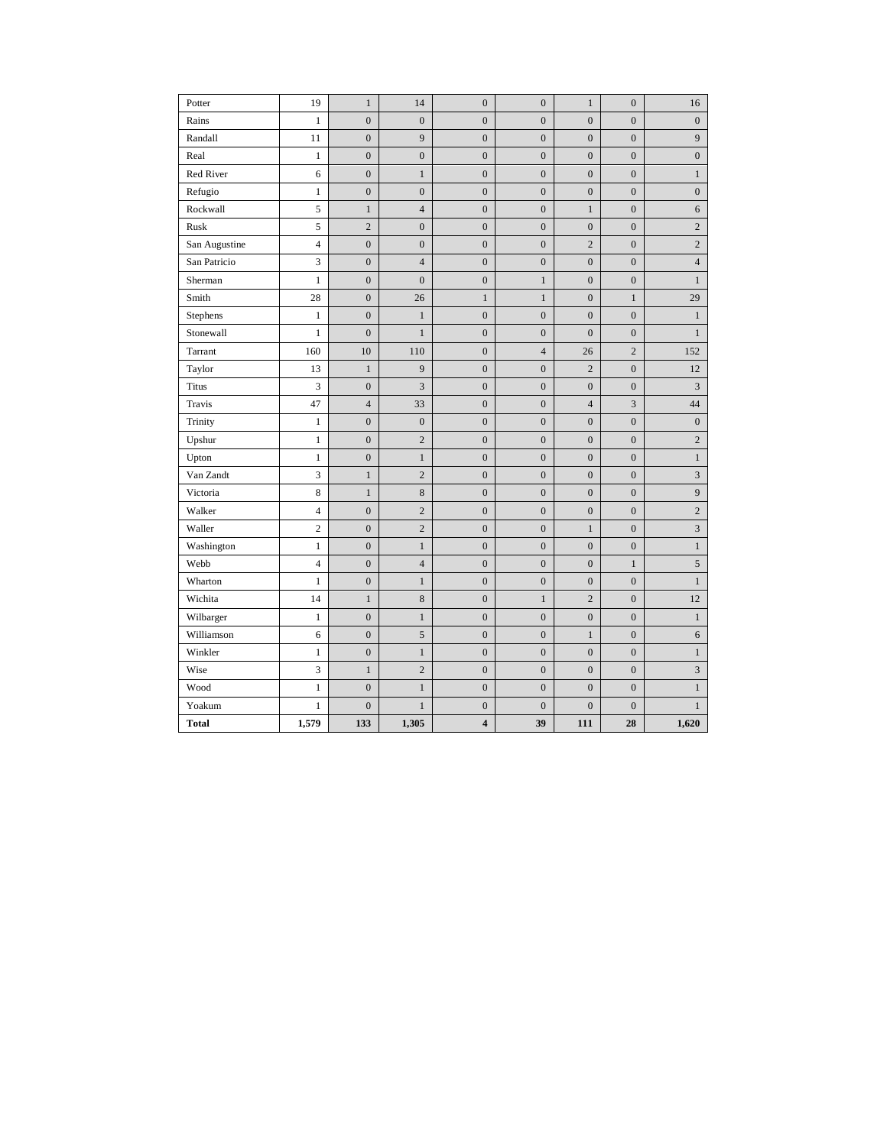| Potter        | 19             | $\mathbf{1}$     | 14               | $\boldsymbol{0}$        | $\boldsymbol{0}$ | $\mathbf{1}$     | $\boldsymbol{0}$ | 16                          |
|---------------|----------------|------------------|------------------|-------------------------|------------------|------------------|------------------|-----------------------------|
| Rains         | $\mathbf{1}$   | $\boldsymbol{0}$ | $\boldsymbol{0}$ | $\boldsymbol{0}$        | $\boldsymbol{0}$ | $\boldsymbol{0}$ | $\boldsymbol{0}$ | $\boldsymbol{0}$            |
| Randall       | 11             | $\boldsymbol{0}$ | 9                | $\boldsymbol{0}$        | $\boldsymbol{0}$ | $\boldsymbol{0}$ | $\boldsymbol{0}$ | 9                           |
| Real          | $\mathbf{1}$   | $\boldsymbol{0}$ | $\boldsymbol{0}$ | $\boldsymbol{0}$        | $\boldsymbol{0}$ | $\boldsymbol{0}$ | $\boldsymbol{0}$ | $\boldsymbol{0}$            |
| Red River     | 6              | $\boldsymbol{0}$ | $\,1$            | $\overline{0}$          | $\overline{0}$   | $\mathbf{0}$     | $\boldsymbol{0}$ | $\mathbf{1}$                |
| Refugio       | $\mathbf{1}$   | $\boldsymbol{0}$ | $\boldsymbol{0}$ | $\mathbf{0}$            | $\boldsymbol{0}$ | $\boldsymbol{0}$ | $\boldsymbol{0}$ | $\boldsymbol{0}$            |
| Rockwall      | 5              | $\mathbf{1}$     | $\overline{4}$   | $\boldsymbol{0}$        | $\boldsymbol{0}$ | $\,1$            | $\boldsymbol{0}$ | 6                           |
| Rusk          | 5              | $\overline{c}$   | $\boldsymbol{0}$ | $\boldsymbol{0}$        | $\boldsymbol{0}$ | $\boldsymbol{0}$ | $\boldsymbol{0}$ | $\overline{c}$              |
| San Augustine | $\overline{4}$ | $\boldsymbol{0}$ | $\boldsymbol{0}$ | $\boldsymbol{0}$        | $\boldsymbol{0}$ | $\overline{c}$   | $\boldsymbol{0}$ | $\overline{c}$              |
| San Patricio  | 3              | $\boldsymbol{0}$ | $\overline{4}$   | $\boldsymbol{0}$        | $\boldsymbol{0}$ | $\boldsymbol{0}$ | $\boldsymbol{0}$ | $\overline{4}$              |
| Sherman       | $\mathbf{1}$   | $\mathbf{0}$     | $\boldsymbol{0}$ | $\boldsymbol{0}$        | $\mathbf{1}$     | $\mathbf{0}$     | $\boldsymbol{0}$ | $\mathbf{1}$                |
| Smith         | 28             | $\boldsymbol{0}$ | 26               | $\mathbf{1}$            | $\mathbf{1}$     | $\mathbf{0}$     | $\,1$            | 29                          |
| Stephens      | 1              | $\boldsymbol{0}$ | $\mathbf{1}$     | $\mathbf{0}$            | $\mathbf{0}$     | $\boldsymbol{0}$ | $\mathbf{0}$     | $\mathbf{1}$                |
| Stonewall     | $\mathbf{1}$   | $\boldsymbol{0}$ | $\mathbf{1}$     | $\boldsymbol{0}$        | $\boldsymbol{0}$ | $\mathbf{0}$     | $\boldsymbol{0}$ | $\mathbf{1}$                |
| Tarrant       | 160            | 10               | 110              | $\mathbf{0}$            | $\overline{4}$   | 26               | $\overline{c}$   | 152                         |
| Taylor        | 13             | $\mathbf{1}$     | 9                | $\boldsymbol{0}$        | $\boldsymbol{0}$ | $\overline{c}$   | $\boldsymbol{0}$ | 12                          |
| <b>Titus</b>  | 3              | $\boldsymbol{0}$ | 3                | $\mathbf{0}$            | $\boldsymbol{0}$ | $\boldsymbol{0}$ | $\boldsymbol{0}$ | 3                           |
| Travis        | 47             | $\overline{4}$   | 33               | $\boldsymbol{0}$        | $\boldsymbol{0}$ | $\overline{4}$   | 3                | 44                          |
| Trinity       | $\mathbf{1}$   | $\boldsymbol{0}$ | $\boldsymbol{0}$ | $\boldsymbol{0}$        | $\boldsymbol{0}$ | $\boldsymbol{0}$ | $\boldsymbol{0}$ | $\boldsymbol{0}$            |
| Upshur        | $\mathbf{1}$   | $\boldsymbol{0}$ | $\overline{c}$   | $\boldsymbol{0}$        | $\boldsymbol{0}$ | $\boldsymbol{0}$ | $\boldsymbol{0}$ | $\overline{c}$              |
| Upton         | $\mathbf{1}$   | $\mathbf{0}$     | $\,1$            | $\boldsymbol{0}$        | $\mathbf{0}$     | $\mathbf{0}$     | $\boldsymbol{0}$ | $\mathbf{1}$                |
| Van Zandt     | 3              | $\,1$            | $\overline{2}$   | $\boldsymbol{0}$        | $\boldsymbol{0}$ | $\boldsymbol{0}$ | $\boldsymbol{0}$ | $\ensuremath{\mathfrak{Z}}$ |
| Victoria      | $\,$ 8 $\,$    | $\,1$            | 8                | $\boldsymbol{0}$        | $\boldsymbol{0}$ | $\boldsymbol{0}$ | $\boldsymbol{0}$ | $\overline{9}$              |
| Walker        | $\overline{4}$ | $\boldsymbol{0}$ | $\overline{c}$   | $\boldsymbol{0}$        | $\boldsymbol{0}$ | $\boldsymbol{0}$ | $\boldsymbol{0}$ | $\overline{c}$              |
| Waller        | $\overline{c}$ | $\boldsymbol{0}$ | $\overline{c}$   | $\boldsymbol{0}$        | $\boldsymbol{0}$ | $\mathbf{1}$     | $\boldsymbol{0}$ | $\mathfrak{Z}$              |
| Washington    | $\mathbf{1}$   | $\boldsymbol{0}$ | $\mathbf{1}$     | $\boldsymbol{0}$        | $\overline{0}$   | $\boldsymbol{0}$ | $\boldsymbol{0}$ | $\mathbf{1}$                |
| Webb          | $\overline{4}$ | $\boldsymbol{0}$ | $\overline{4}$   | $\mathbf{0}$            | $\boldsymbol{0}$ | $\boldsymbol{0}$ | $\mathbf{1}$     | $\sqrt{5}$                  |
| Wharton       | $\mathbf{1}$   | $\boldsymbol{0}$ | $\mathbf{1}$     | $\mathbf{0}$            | $\boldsymbol{0}$ | $\boldsymbol{0}$ | $\mathbf{0}$     | $\mathbf{1}$                |
| Wichita       | 14             | $\,1$            | $\,$ 8 $\,$      | $\boldsymbol{0}$        | $\,1$            | $\overline{c}$   | $\boldsymbol{0}$ | 12                          |
| Wilbarger     | 1              | $\boldsymbol{0}$ | $\mathbf{1}$     | $\mathbf{0}$            | $\boldsymbol{0}$ | $\boldsymbol{0}$ | $\boldsymbol{0}$ | $\mathbf{1}$                |
| Williamson    | 6              | $\boldsymbol{0}$ | 5                | $\boldsymbol{0}$        | $\boldsymbol{0}$ | $\mathbf{1}$     | $\boldsymbol{0}$ | 6                           |
| Winkler       | $\mathbf{1}$   | $\boldsymbol{0}$ | $\mathbf{1}$     | $\mathbf{0}$            | $\overline{0}$   | $\boldsymbol{0}$ | $\boldsymbol{0}$ | $\mathbf{1}$                |
| Wise          | 3              | $\,1$            | $\overline{2}$   | $\overline{0}$          | $\boldsymbol{0}$ | $\boldsymbol{0}$ | $\boldsymbol{0}$ | 3                           |
| Wood          | $\mathbf{1}$   | $\boldsymbol{0}$ | $\,1$            | $\mathbf{0}$            | $\boldsymbol{0}$ | $\boldsymbol{0}$ | $\boldsymbol{0}$ | $\mathbf{1}$                |
| Yoakum        | $\mathbf{1}$   | $\boldsymbol{0}$ | $\mathbf{1}$     | $\boldsymbol{0}$        | $\boldsymbol{0}$ | $\mathbf{0}$     | $\mathbf{0}$     | $\mathbf{1}$                |
| <b>Total</b>  | 1,579          | 133              | 1,305            | $\overline{\mathbf{4}}$ | 39               | 111              | 28               | 1,620                       |